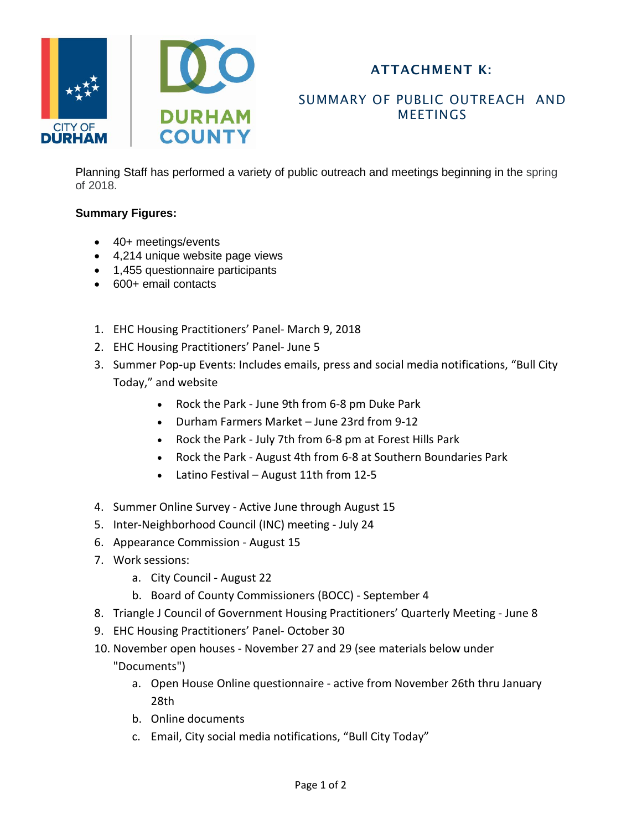

## ATTACHMENT K:

## SUMMARY OF PUBLIC OUTREACH AND **MEETINGS**

Planning Staff has performed a variety of public outreach and meetings beginning in the spring of 2018.

## **Summary Figures:**

- 40+ meetings/events
- 4,214 unique website page views
- 1,455 questionnaire participants
- 600+ email contacts
- 1. EHC Housing Practitioners' Panel- March 9, 2018
- 2. EHC Housing Practitioners' Panel- June 5
- 3. Summer Pop-up Events: Includes emails, press and social media notifications, "Bull City Today," and website
	- Rock the Park June 9th from 6-8 pm Duke Park
	- Durham Farmers Market June 23rd from 9-12
	- Rock the Park July 7th from 6-8 pm at Forest Hills Park
	- Rock the Park August 4th from 6-8 at Southern Boundaries Park
	- Latino Festival August 11th from 12-5
- 4. Summer Online Survey Active June through August 15
- 5. Inter-Neighborhood Council (INC) meeting July 24
- 6. Appearance Commission August 15
- 7. Work sessions:
	- a. City Council August 22
	- b. Board of County Commissioners (BOCC) September 4
- 8. Triangle J Council of Government Housing Practitioners' Quarterly Meeting June 8
- 9. EHC Housing Practitioners' Panel- October 30
- 10. November open houses November 27 and 29 (see materials below under "Documents")
	- a. Open House Online questionnaire active from November 26th thru January  $28<sub>th</sub>$
	- b. Online documents
	- c. Email, City social media notifications, "Bull City Today"